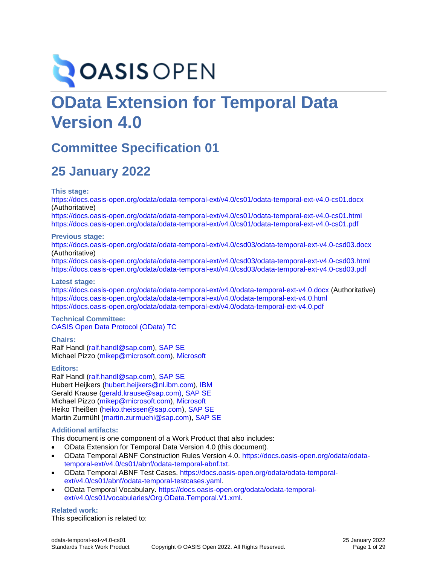# **OASIS OPEN**

# **OData Extension for Temporal Data Version 4.0**

# **Committee Specification 01**

# **25 January 2022**

**This stage:**

<https://docs.oasis-open.org/odata/odata-temporal-ext/v4.0/cs01/odata-temporal-ext-v4.0-cs01.docx> (Authoritative)

<https://docs.oasis-open.org/odata/odata-temporal-ext/v4.0/cs01/odata-temporal-ext-v4.0-cs01.html> <https://docs.oasis-open.org/odata/odata-temporal-ext/v4.0/cs01/odata-temporal-ext-v4.0-cs01.pdf>

#### **Previous stage:**

<https://docs.oasis-open.org/odata/odata-temporal-ext/v4.0/csd03/odata-temporal-ext-v4.0-csd03.docx> (Authoritative)

<https://docs.oasis-open.org/odata/odata-temporal-ext/v4.0/csd03/odata-temporal-ext-v4.0-csd03.html> <https://docs.oasis-open.org/odata/odata-temporal-ext/v4.0/csd03/odata-temporal-ext-v4.0-csd03.pdf>

#### **Latest stage:**

<https://docs.oasis-open.org/odata/odata-temporal-ext/v4.0/odata-temporal-ext-v4.0.docx> (Authoritative) <https://docs.oasis-open.org/odata/odata-temporal-ext/v4.0/odata-temporal-ext-v4.0.html> <https://docs.oasis-open.org/odata/odata-temporal-ext/v4.0/odata-temporal-ext-v4.0.pdf>

#### **Technical Committee:** [OASIS Open Data Protocol \(OData\) TC](https://www.oasis-open.org/committees/odata/)

**Chairs:**

Ralf Handl [\(ralf.handl@sap.com\)](mailto:ralf.handl@sap.com), [SAP SE](http://www.sap.com/) Michael Pizzo [\(mikep@microsoft.com\)](mailto:mikep@microsoft.com), [Microsoft](http://www.microsoft.com/)

#### **Editors:**

Ralf Handl [\(ralf.handl@sap.com\)](mailto:ralf.handl@sap.com), [SAP SE](http://www.sap.com/) Hubert Heijkers [\(hubert.heijkers@nl.ibm.com\)](mailto:hubert.heijkers@nl.ibm.com), [IBM](http://www.ibm.com/) Gerald Krause [\(gerald.krause@sap.com\),](mailto:gerald.krause@sap.com)) [SAP SE](http://www.sap.com/) Michael Pizzo [\(mikep@microsoft.com\)](mailto:mikep@microsoft.com), [Microsoft](http://www.microsoft.com/) Heiko Theißen [\(heiko.theissen@sap.com\)](mailto:heiko.theissen@sap.com), [SAP SE](http://www.sap.com/) Martin Zurmühl [\(martin.zurmuehl@sap.com\)](mailto:martin.zurmuehl@sap.com), [SAP SE](http://www.sap.com/)

#### <span id="page-0-1"></span>**Additional artifacts:**

This document is one component of a Work Product that also includes:

- OData Extension for Temporal Data Version 4.0 (this document).
- OData Temporal ABNF Construction Rules Version 4.0. [https://docs.oasis-open.org/odata/odata](https://docs.oasis-open.org/odata/odata-temporal-ext/v4.0/cs01/abnf/odata-temporal-abnf.txt)[temporal-ext/v4.0/cs01/abnf/odata-temporal-abnf.txt.](https://docs.oasis-open.org/odata/odata-temporal-ext/v4.0/cs01/abnf/odata-temporal-abnf.txt)
- OData Temporal ABNF Test Cases. [https://docs.oasis-open.org/odata/odata-temporal](https://docs.oasis-open.org/odata/odata-temporal-ext/v4.0/cs01/abnf/odata-temporal-testcases.yaml)[ext/v4.0/cs01/abnf/odata-temporal-testcases.yaml.](https://docs.oasis-open.org/odata/odata-temporal-ext/v4.0/cs01/abnf/odata-temporal-testcases.yaml)
- OData Temporal Vocabulary. [https://docs.oasis-open.org/odata/odata-temporal](https://docs.oasis-open.org/odata/odata-temporal-ext/v4.0/cs01/vocabularies/Org.OData.Temporal.V1.xml)[ext/v4.0/cs01/vocabularies/Org.OData.Temporal.V1.xml.](https://docs.oasis-open.org/odata/odata-temporal-ext/v4.0/cs01/vocabularies/Org.OData.Temporal.V1.xml)

#### <span id="page-0-0"></span>**Related work:**

This specification is related to: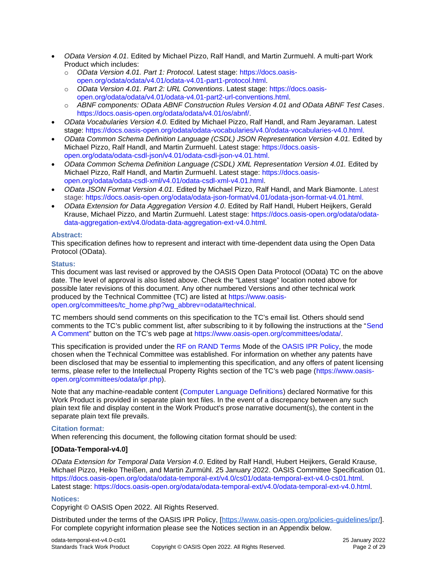- *OData Version 4.01*. Edited by Michael Pizzo, Ralf Handl, and Martin Zurmuehl. A multi-part Work Product which includes:
	- o *OData Version 4.01. Part 1: Protocol*. Latest stage: [https://docs.oasis](https://docs.oasis-open.org/odata/odata/v4.01/odata-v4.01-part1-protocol.html)[open.org/odata/odata/v4.01/odata-v4.01-part1-protocol.html.](https://docs.oasis-open.org/odata/odata/v4.01/odata-v4.01-part1-protocol.html)
	- o *OData Version 4.01. Part 2: URL Conventions*. Latest stage: [https://docs.oasis](https://docs.oasis-open.org/odata/odata/v4.01/odata-v4.01-part2-url-conventions.html)[open.org/odata/odata/v4.01/odata-v4.01-part2-url-conventions.html.](https://docs.oasis-open.org/odata/odata/v4.01/odata-v4.01-part2-url-conventions.html)
	- o *ABNF components: OData ABNF Construction Rules Version 4.01 and OData ABNF Test Cases*. [https://docs.oasis-open.org/odata/odata/v4.01/os/abnf/.](https://docs.oasis-open.org/odata/odata/v4.01/os/abnf/)
- *OData Vocabularies Version 4.0.* Edited by Michael Pizzo, Ralf Handl, and Ram Jeyaraman. Latest stage: [https://docs.oasis-open.org/odata/odata-vocabularies/v4.0/odata-vocabularies-v4.0.html.](https://docs.oasis-open.org/odata/odata-vocabularies/v4.0/odata-vocabularies-v4.0.html)
- *OData Common Schema Definition Language (CSDL) JSON Representation Version 4.01.* Edited by Michael Pizzo, Ralf Handl, and Martin Zurmuehl. Latest stage: [https://docs.oasis](https://docs.oasis-open.org/odata/odata-csdl-json/v4.01/odata-csdl-json-v4.01.html)[open.org/odata/odata-csdl-json/v4.01/odata-csdl-json-v4.01.html.](https://docs.oasis-open.org/odata/odata-csdl-json/v4.01/odata-csdl-json-v4.01.html)
- *OData Common Schema Definition Language (CSDL) XML Representation Version 4.01.* Edited by Michael Pizzo, Ralf Handl, and Martin Zurmuehl. Latest stage: [https://docs.oasis](https://docs.oasis-open.org/odata/odata-csdl-xml/v4.01/odata-csdl-xml-v4.01.html)[open.org/odata/odata-csdl-xml/v4.01/odata-csdl-xml-v4.01.html.](https://docs.oasis-open.org/odata/odata-csdl-xml/v4.01/odata-csdl-xml-v4.01.html)
- *OData JSON Format Version 4.01.* Edited by Michael Pizzo, Ralf Handl, and Mark Biamonte. Latest stage: [https://docs.oasis-open.org/odata/odata-json-format/v4.01/odata-json-format-v4.01.html.](https://docs.oasis-open.org/odata/odata-json-format/v4.01/odata-json-format-v4.01.html)
- *OData Extension for Data Aggregation Version 4.0*. Edited by Ralf Handl, Hubert Heijkers, Gerald Krause, Michael Pizzo, and Martin Zurmuehl. Latest stage: [https://docs.oasis-open.org/odata/odata](https://docs.oasis-open.org/odata/odata-data-aggregation-ext/v4.0/odata-data-aggregation-ext-v4.0.html)[data-aggregation-ext/v4.0/odata-data-aggregation-ext-v4.0.html.](https://docs.oasis-open.org/odata/odata-data-aggregation-ext/v4.0/odata-data-aggregation-ext-v4.0.html)

#### **Abstract:**

This specification defines how to represent and interact with time-dependent data using the Open Data Protocol (OData).

#### **Status:**

This document was last revised or approved by the OASIS Open Data Protocol (OData) TC on the above date. The level of approval is also listed above. Check the "Latest stage" location noted above for possible later revisions of this document. Any other numbered Versions and other technical work produced by the Technical Committee (TC) are listed at [https://www.oasis](https://www.oasis-open.org/committees/tc_home.php?wg_abbrev=odata#technical)[open.org/committees/tc\\_home.php?wg\\_abbrev=odata#technical.](https://www.oasis-open.org/committees/tc_home.php?wg_abbrev=odata#technical)

TC members should send comments on this specification to the TC's email list. Others should send comments to the TC's public comment list, after subscribing to it by following the instructions at the "[Send](https://www.oasis-open.org/committees/comments/index.php?wg_abbrev=odata)  [A Comment](https://www.oasis-open.org/committees/comments/index.php?wg_abbrev=odata)" button on the TC's web page at [https://www.oasis-open.org/committees/odata/.](https://www.oasis-open.org/committees/odata/)

This specification is provided under the [RF on RAND Terms](https://www.oasis-open.org/policies-guidelines/ipr/#RF-on-RAND-Mode) Mode of the [OASIS IPR Policy,](https://www.oasis-open.org/policies-guidelines/ipr/) the mode chosen when the Technical Committee was established. For information on whether any patents have been disclosed that may be essential to implementing this specification, and any offers of patent licensing terms, please refer to the Intellectual Property Rights section of the TC's web page ([https://www.oasis](https://www.oasis-open.org/committees/odata/ipr.php)[open.org/committees/odata/ipr.php\)](https://www.oasis-open.org/committees/odata/ipr.php).

Note that any machine-readable content [\(Computer Language Definitions\)](https://www.oasis-open.org/policies-guidelines/tc-process#wpComponentsCompLang) declared Normative for this Work Product is provided in separate plain text files. In the event of a discrepancy between any such plain text file and display content in the Work Product's prose narrative document(s), the content in the separate plain text file prevails.

#### **Citation format:**

When referencing this document, the following citation format should be used:

#### **[OData-Temporal-v4.0]**

*OData Extension for Temporal Data Version 4.0*. Edited by Ralf Handl, Hubert Heijkers, Gerald Krause, Michael Pizzo, Heiko Theißen, and Martin Zurmühl. 25 January 2022. OASIS Committee Specification 01. [https://docs.oasis-open.org/odata/odata-temporal-ext/v4.0/cs01/odata-temporal-ext-v4.0-cs01.html.](https://docs.oasis-open.org/odata/odata-temporal-ext/v4.0/cs01/odata-temporal-ext-v4.0-cs01.html) Latest stage: [https://docs.oasis-open.org/odata/odata-temporal-ext/v4.0/odata-temporal-ext-v4.0.html.](https://docs.oasis-open.org/odata/odata-temporal-ext/v4.0/odata-temporal-ext-v4.0.html)

#### **Notices:**

Copyright © OASIS Open 2022. All Rights Reserved.

Distributed under the terms of the OASIS IPR Policy, [\[https://www.oasis-open.org/policies-guidelines/ipr/\]](https://www.oasis-open.org/policies-guidelines/ipr/). For complete copyright information please see the Notices section in an Appendix below.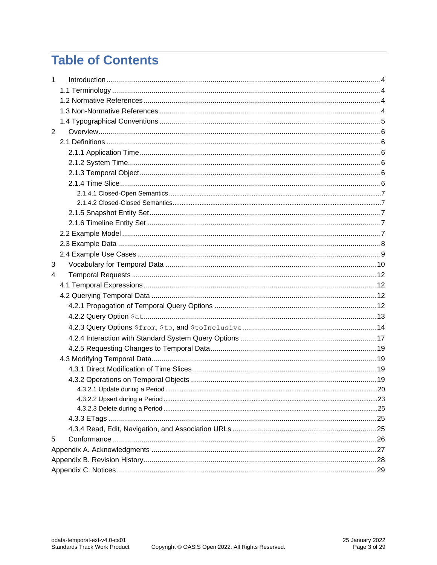# **Table of Contents**

| $\mathbf{1}$   |  |  |  |  |  |
|----------------|--|--|--|--|--|
|                |  |  |  |  |  |
|                |  |  |  |  |  |
|                |  |  |  |  |  |
|                |  |  |  |  |  |
| $\overline{2}$ |  |  |  |  |  |
|                |  |  |  |  |  |
|                |  |  |  |  |  |
|                |  |  |  |  |  |
|                |  |  |  |  |  |
|                |  |  |  |  |  |
|                |  |  |  |  |  |
|                |  |  |  |  |  |
|                |  |  |  |  |  |
|                |  |  |  |  |  |
|                |  |  |  |  |  |
|                |  |  |  |  |  |
|                |  |  |  |  |  |
| 3              |  |  |  |  |  |
| 4              |  |  |  |  |  |
|                |  |  |  |  |  |
|                |  |  |  |  |  |
|                |  |  |  |  |  |
|                |  |  |  |  |  |
|                |  |  |  |  |  |
|                |  |  |  |  |  |
|                |  |  |  |  |  |
|                |  |  |  |  |  |
|                |  |  |  |  |  |
|                |  |  |  |  |  |
|                |  |  |  |  |  |
|                |  |  |  |  |  |
|                |  |  |  |  |  |
|                |  |  |  |  |  |
|                |  |  |  |  |  |
| 5              |  |  |  |  |  |
|                |  |  |  |  |  |
|                |  |  |  |  |  |
|                |  |  |  |  |  |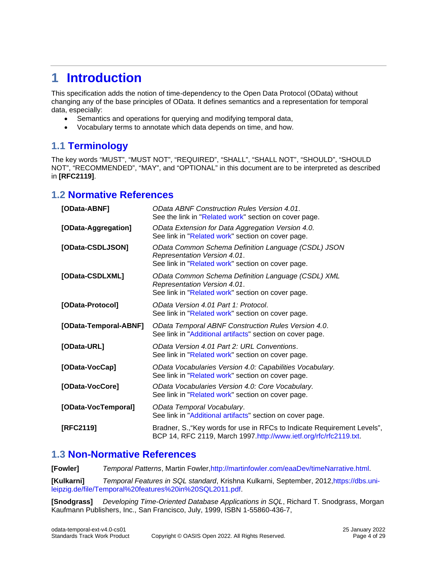# <span id="page-3-4"></span><span id="page-3-0"></span>**1 [Introduction](#page-3-4)**

This specification adds the notion of time-dependency to the Open Data Protocol (OData) without changing any of the base principles of OData. It defines semantics and a representation for temporal data, especially:

- Semantics and operations for querying and modifying temporal data,
- <span id="page-3-1"></span>• Vocabulary terms to annotate which data depends on time, and how.

# <span id="page-3-5"></span>**1.1 [Terminology](#page-3-5)**

The key words "MUST", "MUST NOT", "REQUIRED", "SHALL", "SHALL NOT", "SHOULD", "SHOULD NOT", "RECOMMENDED", "MAY", and "OPTIONAL" in this document are to be interpreted as described in **[\[RFC2119\]](#page-3-6)**.

# <span id="page-3-7"></span><span id="page-3-2"></span>**1.2 Normative [References](#page-3-7)**

<span id="page-3-13"></span><span id="page-3-11"></span>

| [OData-ABNF]          | <b>OData ABNF Construction Rules Version 4.01.</b><br>See the link in "Related work" section on cover page.                              |
|-----------------------|------------------------------------------------------------------------------------------------------------------------------------------|
| [OData-Aggregation]   | OData Extension for Data Aggregation Version 4.0.<br>See link in "Related work" section on cover page.                                   |
| [OData-CSDLJSON]      | OData Common Schema Definition Language (CSDL) JSON<br>Representation Version 4.01.<br>See link in "Related work" section on cover page. |
| [OData-CSDLXML]       | OData Common Schema Definition Language (CSDL) XML<br>Representation Version 4.01.<br>See link in "Related work" section on cover page.  |
| [OData-Protocol]      | OData Version 4.01 Part 1: Protocol.<br>See link in "Related work" section on cover page.                                                |
| [OData-Temporal-ABNF] | OData Temporal ABNF Construction Rules Version 4.0.<br>See link in "Additional artifacts" section on cover page.                         |
| [OData-URL]           | OData Version 4.01 Part 2: URL Conventions.<br>See link in "Related work" section on cover page.                                         |
| [OData-VocCap]        | OData Vocabularies Version 4.0: Capabilities Vocabulary.<br>See link in "Related work" section on cover page.                            |
| [OData-VocCore]       | OData Vocabularies Version 4.0: Core Vocabulary.<br>See link in "Related work" section on cover page.                                    |
| [OData-VocTemporal]   | OData Temporal Vocabulary.<br>See link in "Additional artifacts" section on cover page.                                                  |
| [RFC2119]             |                                                                                                                                          |

# <span id="page-3-12"></span><span id="page-3-10"></span><span id="page-3-8"></span><span id="page-3-6"></span><span id="page-3-3"></span>**1.3 [Non-Normative References](#page-3-8)**

**[Fowler]** *Temporal Patterns*, Martin Fowler[,http://martinfowler.com/eaaDev/timeNarrative.html.](http://martinfowler.com/eaaDev/timeNarrative.html)

<span id="page-3-9"></span>**[Kulkarni]** *Temporal Features in SQL standard*, Krishna Kulkarni, September, 2012[,https://dbs.uni](https://dbs.uni-leipzig.de/file/Temporal%20features%20in%20SQL2011.pdf)[leipzig.de/file/Temporal%20features%20in%20SQL2011.pdf.](https://dbs.uni-leipzig.de/file/Temporal%20features%20in%20SQL2011.pdf)

**[Snodgrass]** *Developing Time-Oriented Database Applications in SQL*, Richard T. Snodgrass, Morgan Kaufmann Publishers, Inc., San Francisco, July, 1999, ISBN 1-55860-436-7,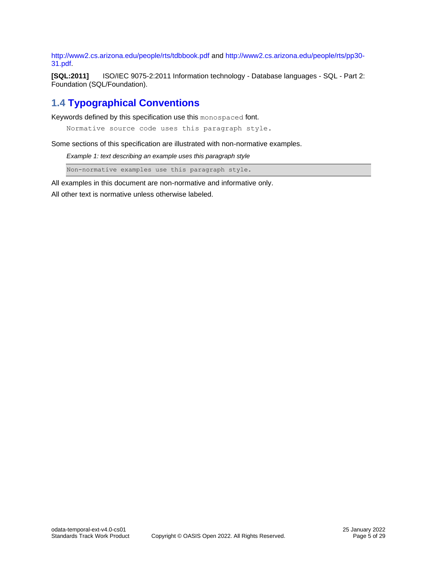<http://www2.cs.arizona.edu/people/rts/tdbbook.pdf> and [http://www2.cs.arizona.edu/people/rts/pp30-](http://www2.cs.arizona.edu/people/rts/pp30-31.pdf) [31.pdf.](http://www2.cs.arizona.edu/people/rts/pp30-31.pdf)

<span id="page-4-2"></span>**[SQL:2011]** ISO/IEC 9075-2:2011 Information technology - Database languages - SQL - Part 2: Foundation (SQL/Foundation).

# <span id="page-4-1"></span><span id="page-4-0"></span>**1.4 [Typographical Conventions](#page-4-1)**

Keywords defined by this specification use this monospaced font.

Normative source code uses this paragraph style.

Some sections of this specification are illustrated with non-normative examples.

*Example 1: text describing an example uses this paragraph style*

Non-normative examples use this paragraph style.

All examples in this document are non-normative and informative only.

All other text is normative unless otherwise labeled.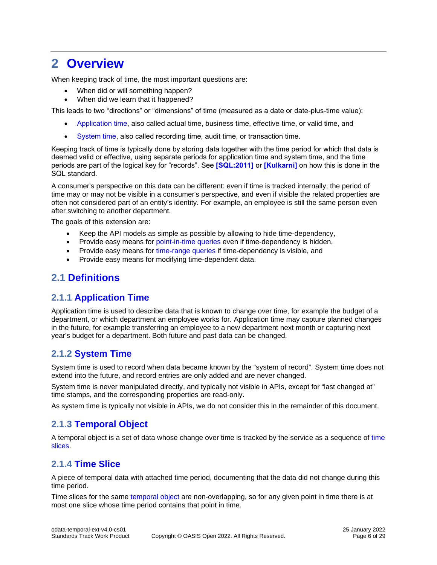# <span id="page-5-6"></span><span id="page-5-0"></span>**2 [Overview](#page-5-6)**

When keeping track of time, the most important questions are:

- When did or will something happen?
- When did we learn that it happened?

This leads to two "directions" or "dimensions" of time (measured as a date or date-plus-time value):

- [Application time,](#page-5-7) also called actual time, business time, effective time, or valid time, and
- [System time,](#page-5-8) also called recording time, audit time, or transaction time.

Keeping track of time is typically done by storing data together with the time period for which that data is deemed valid or effective, using separate periods for application time and system time, and the time periods are part of the logical key for "records". See **[\[SQL:2011\]](#page-4-2)** or **[\[Kulkarni\]](#page-3-9)** on how this is done in the SQL standard.

A consumer's perspective on this data can be different: even if time is tracked internally, the period of time may or may not be visible in a consumer's perspective, and even if visible the related properties are often not considered part of an entity's identity. For example, an employee is still the same person even after switching to another department.

The goals of this extension are:

- Keep the API models as simple as possible by allowing to hide time-dependency,
- Provide easy means for [point-in-time queries](#page-12-1) even if time-dependency is hidden,
- Provide easy means for [time-range queries](#page-13-1) if time-dependency is visible, and
- <span id="page-5-1"></span>• Provide easy means for modifying time-dependent data.

# <span id="page-5-9"></span>**2.1 [Definitions](#page-5-9)**

# <span id="page-5-7"></span><span id="page-5-2"></span>**2.1.1 [Application Time](#page-5-7)**

Application time is used to describe data that is known to change over time, for example the budget of a department, or which department an employee works for. Application time may capture planned changes in the future, for example transferring an employee to a new department next month or capturing next year's budget for a department. Both future and past data can be changed.

# <span id="page-5-8"></span><span id="page-5-3"></span>**2.1.2 [System Time](#page-5-8)**

System time is used to record when data became known by the "system of record". System time does not extend into the future, and record entries are only added and are never changed.

System time is never manipulated directly, and typically not visible in APIs, except for "last changed at" time stamps, and the corresponding properties are read-only.

As system time is typically not visible in APIs, we do not consider this in the remainder of this document.

# <span id="page-5-10"></span><span id="page-5-4"></span>**2.1.3 [Temporal Object](#page-5-10)**

A temporal object is a set of data whose change over time is tracked by the service as a sequence of [time](#page-5-11)  [slices.](#page-5-11)

# <span id="page-5-11"></span><span id="page-5-5"></span>**2.1.4 [Time Slice](#page-5-11)**

A piece of temporal data with attached time period, documenting that the data did not change during this time period.

Time slices for the same [temporal object](#page-5-10) are non-overlapping, so for any given point in time there is at most one slice whose time period contains that point in time.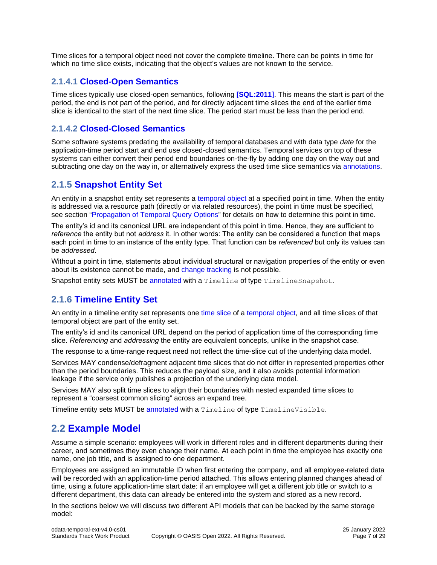Time slices for a temporal object need not cover the complete timeline. There can be points in time for which no time slice exists, indicating that the object's values are not known to the service.

### <span id="page-6-5"></span><span id="page-6-0"></span>**2.1.4.1 [Closed-Open Semantics](#page-6-5)**

Time slices typically use closed-open semantics, following **[\[SQL:2011\]](#page-4-2)**. This means the start is part of the period, the end is not part of the period, and for directly adjacent time slices the end of the earlier time slice is identical to the start of the next time slice. The period start must be less than the period end.

### <span id="page-6-6"></span><span id="page-6-1"></span>**2.1.4.2 [Closed-Closed Semantics](#page-6-6)**

Some software systems predating the availability of temporal databases and with data type *date* for the application-time period start and end use closed-closed semantics. Temporal services on top of these systems can either convert their period end boundaries on-the-fly by adding one day on the way out and subtracting one day on the way in, or alternatively express the used time slice semantics via [annotations.](#page-9-1)

### <span id="page-6-7"></span><span id="page-6-2"></span>**2.1.5 [Snapshot Entity Set](#page-6-7)**

An entity in a snapshot entity set represents a [temporal object](#page-5-10) at a specified point in time. When the entity is addressed via a resource path (directly or via related resources), the point in time must be specified, see section "Propagation [of Temporal Query Options](#page-11-4)" for details on how to determine this point in time.

The entity's id and its canonical URL are independent of this point in time. Hence, they are sufficient to *reference* the entity but not *address* it. In other words: The entity can be considered a function that maps each point in time to an instance of the entity type. That function can be *referenced* but only its values can be *addressed*.

Without a point in time, statements about individual structural or navigation properties of the entity or even about its existence cannot be made, and [change tracking](#page-18-4) is not possible.

Snapshot entity sets MUST be [annotated](#page-9-1) with a Timeline of type TimelineSnapshot.

# <span id="page-6-8"></span><span id="page-6-3"></span>**2.1.6 [Timeline Entity Set](#page-6-8)**

An entity in a timeline entity set represents one [time slice](#page-5-11) of a [temporal object,](#page-5-10) and all time slices of that temporal object are part of the entity set.

The entity's id and its canonical URL depend on the period of application time of the corresponding time slice. *Referencing* and *addressing* the entity are equivalent concepts, unlike in the snapshot case.

The response to a time-range request need not reflect the time-slice cut of the underlying data model.

Services MAY condense/defragment adjacent time slices that do not differ in represented properties other than the period boundaries. This reduces the payload size, and it also avoids potential information leakage if the service only publishes a projection of the underlying data model.

Services MAY also split time slices to align their boundaries with nested expanded time slices to represent a "coarsest common slicing" across an expand tree.

Timeline entity sets MUST be [annotated](#page-9-1) with a Timeline of type TimelineVisible.

# <span id="page-6-9"></span><span id="page-6-4"></span>**2.2 [Example Model](#page-6-9)**

Assume a simple scenario: employees will work in different roles and in different departments during their career, and sometimes they even change their name. At each point in time the employee has exactly one name, one job title, and is assigned to one department.

Employees are assigned an immutable ID when first entering the company, and all employee-related data will be recorded with an application-time period attached. This allows entering planned changes ahead of time, using a future application-time start date: if an employee will get a different job title or switch to a different department, this data can already be entered into the system and stored as a new record.

In the sections below we will discuss two different API models that can be backed by the same storage model: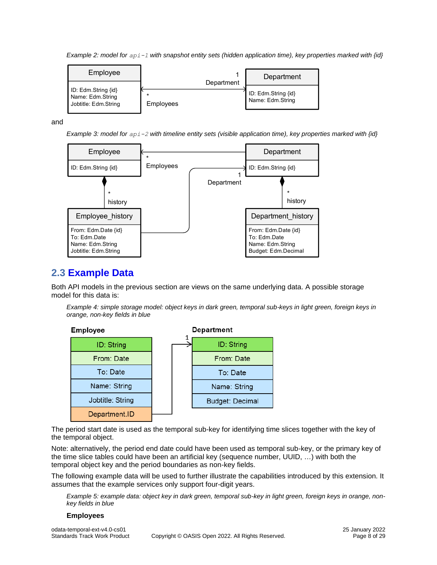<span id="page-7-2"></span>*Example 2: model for api-1 with snapshot entity sets (hidden application time), key properties marked with {id}*

| Employee                                                        |                                    | Department                              |
|-----------------------------------------------------------------|------------------------------------|-----------------------------------------|
| ID: Edm.String {id}<br>Name: Edm.String<br>Jobtitle: Edm.String | Department<br>$\star$<br>Employees | ID: Edm.String {id}<br>Name: Edm.String |

<span id="page-7-3"></span>and

*Example 3: model for api-2 with timeline entity sets (visible application time), key properties marked with {id}*



# <span id="page-7-1"></span><span id="page-7-0"></span>**2.3 [Example Data](#page-7-1)**

Both API models in the previous section are views on the same underlying data. A possible storage model for this data is:

*Example 4: simple storage model: object keys in dark green, temporal sub-keys in light green, foreign keys in orange, non-key fields in blue*



The period start date is used as the temporal sub-key for identifying time slices together with the key of the temporal object.

Note: alternatively, the period end date could have been used as temporal sub-key, or the primary key of the time slice tables could have been an artificial key (sequence number, UUID, …) with both the temporal object key and the period boundaries as non-key fields.

The following example data will be used to further illustrate the capabilities introduced by this extension. It assumes that the example services only support four-digit years.

*Example 5: example data: object key in dark green, temporal sub-key in light green, foreign keys in orange, nonkey fields in blue*

#### **Employees**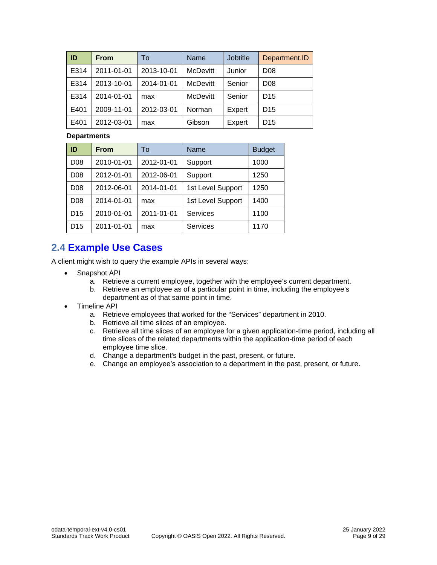| ID   | <b>From</b> | To         | <b>Name</b>     | <b>Jobtitle</b> | Department.ID   |
|------|-------------|------------|-----------------|-----------------|-----------------|
| E314 | 2011-01-01  | 2013-10-01 | <b>McDevitt</b> | Junior          | D <sub>08</sub> |
| E314 | 2013-10-01  | 2014-01-01 | <b>McDevitt</b> | Senior          | D <sub>08</sub> |
| E314 | 2014-01-01  | max        | <b>McDevitt</b> | Senior          | D <sub>15</sub> |
| E401 | 2009-11-01  | 2012-03-01 | Norman          | Expert          | D <sub>15</sub> |
| E401 | 2012-03-01  | max        | Gibson          | Expert          | D <sub>15</sub> |

#### **Departments**

| ID              | From       | To         | Name              | <b>Budget</b> |
|-----------------|------------|------------|-------------------|---------------|
| D <sub>08</sub> | 2010-01-01 | 2012-01-01 | Support           | 1000          |
| D <sub>08</sub> | 2012-01-01 | 2012-06-01 | Support           | 1250          |
| D <sub>08</sub> | 2012-06-01 | 2014-01-01 | 1st Level Support | 1250          |
| D <sub>08</sub> | 2014-01-01 | max        | 1st Level Support | 1400          |
| D <sub>15</sub> | 2010-01-01 | 2011-01-01 | <b>Services</b>   | 1100          |
| D <sub>15</sub> | 2011-01-01 | max        | <b>Services</b>   | 1170          |

# <span id="page-8-1"></span><span id="page-8-0"></span>**2.4 [Example Use Cases](#page-8-1)**

A client might wish to query the example APIs in several ways:

- Snapshot API
	- a. Retrieve a current employee, together with the employee's current department.
	- b. Retrieve an employee as of a particular point in time, including the employee's department as of that same point in time.
- Timeline API
	- a. Retrieve employees that worked for the "Services" department in 2010.
	- b. Retrieve all time slices of an employee.
	- c. Retrieve all time slices of an employee for a given application-time period, including all time slices of the related departments within the application-time period of each employee time slice.
	- d. Change a department's budget in the past, present, or future.
	- e. Change an employee's association to a department in the past, present, or future.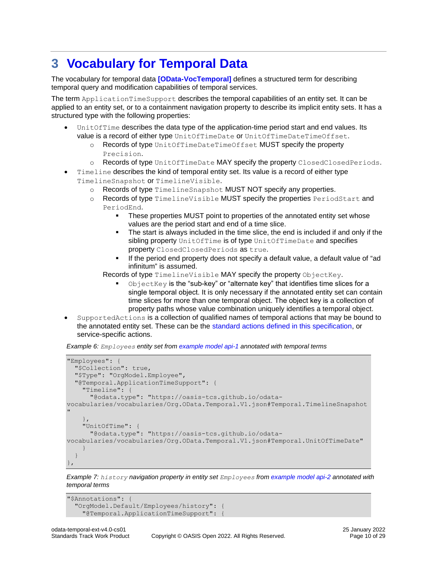# <span id="page-9-1"></span><span id="page-9-0"></span>**3 [Vocabulary for Temporal Data](#page-9-1)**

The vocabulary for temporal data **[\[OData-VocTemporal\]](#page-3-10)** defines a structured term for describing temporal query and modification capabilities of temporal services.

The term ApplicationTimeSupport describes the temporal capabilities of an entity set. It can be applied to an entity set, or to a containment navigation property to describe its implicit entity sets. It has a structured type with the following properties:

- UnitOfTime describes the data type of the application-time period start and end values. Its value is a record of either type UnitOfTimeDate or UnitOfTimeDateTimeOffset.
	- o Records of type UnitOfTimeDateTimeOffset MUST specify the property Precision.
	- o Records of type UnitOfTimeDate MAY specify the property ClosedClosedPeriods.
- Timeline describes the kind of temporal entity set. Its value is a record of either type TimelineSnapshot or TimelineVisible.
	- o Records of type TimelineSnapshot MUST NOT specify any properties.
	- o Records of type TimelineVisible MUST specify the properties PeriodStart and PeriodEnd.
		- These properties MUST point to properties of the annotated entity set whose values are the period start and end of a time slice.
		- The start is always included in the time slice, the end is included if and only if the sibling property UnitOfTime is of type UnitOfTimeDate and specifies property ClosedClosedPeriods as true.
		- If the period end property does not specify a default value, a default value of "ad infinitum" is assumed.

Records of type TimelineVisible MAY specify the property ObjectKey.

- ObjectKey is the "sub-key" or "alternate key" that identifies time slices for a single temporal object. It is only necessary if the annotated entity set can contain time slices for more than one temporal object. The object key is a collection of property paths whose value combination uniquely identifies a temporal object.
- SupportedActions is a collection of qualified names of temporal actions that may be bound to the annotated entity set. These can be the [standard actions defined in this specification,](#page-18-5) or service-specific actions.

*Example 6: Employees entity set from [example model api-1](#page-7-2) annotated with temporal terms*

```
"Employees": {
   "$Collection": true,
   "$Type": "OrgModel.Employee",
   "@Temporal.ApplicationTimeSupport": {
     "Timeline": {
       "@odata.type": "https://oasis-tcs.github.io/odata-
vocabularies/vocabularies/Org.OData.Temporal.V1.json#Temporal.TimelineSnapshot
"
     },
     "UnitOfTime": {
       "@odata.type": "https://oasis-tcs.github.io/odata-
vocabularies/vocabularies/Org.OData.Temporal.V1.json#Temporal.UnitOfTimeDate"
     }
   }
},
```
*Example 7: history navigation property in entity set Employees from [example model api-2](#page-7-3) annotated with temporal terms*

```
"$Annotations": {
   "OrgModel.Default/Employees/history": {
     "@Temporal.ApplicationTimeSupport": {
```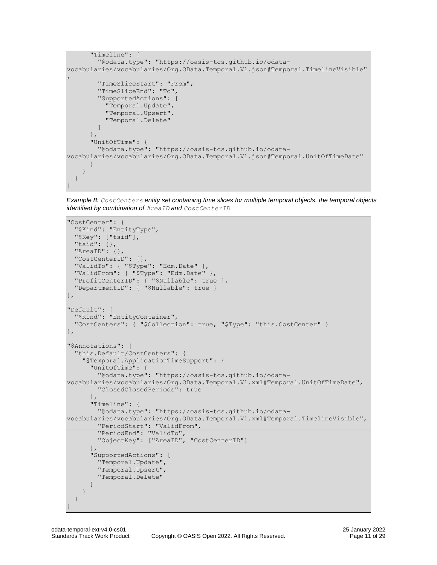```
 "Timeline": {
         "@odata.type": "https://oasis-tcs.github.io/odata-
vocabularies/vocabularies/Org.OData.Temporal.V1.json#Temporal.TimelineVisible"
,
         "TimeSliceStart": "From",
         "TimeSliceEnd": "To",
         "SupportedActions": [
           "Temporal.Update",
           "Temporal.Upsert",
           "Temporal.Delete"
         ]
\qquad \qquad "UnitOfTime": {
         "@odata.type": "https://oasis-tcs.github.io/odata-
vocabularies/vocabularies/Org.OData.Temporal.V1.json#Temporal.UnitOfTimeDate"
       }
     }
  }
}
```
<span id="page-10-0"></span>*Example 8: CostCenters entity set containing time slices for multiple temporal objects, the temporal objects identified by combination of AreaID and CostCenterID*

```
"CostCenter": {
   "$Kind": "EntityType",
   "$Key": ["tsid"],
   "tsid": {},
   "AreaID": {},
   "CostCenterID": {},
   "ValidTo": { "$Type": "Edm.Date" },
  "ValidFrom": { "$Type": "Edm.Date" },
  "ProfitCenterID": { "$Nullable": true },
   "DepartmentID": { "$Nullable": true }
},
"Default": {
   "$Kind": "EntityContainer",
   "CostCenters": { "$Collection": true, "$Type": "this.CostCenter" }
},
"$Annotations": {
   "this.Default/CostCenters": {
     "@Temporal.ApplicationTimeSupport": {
       "UnitOfTime": {
         "@odata.type": "https://oasis-tcs.github.io/odata-
vocabularies/vocabularies/Org.OData.Temporal.V1.xml#Temporal.UnitOfTimeDate",
         "ClosedClosedPeriods": true
       },
       "Timeline": {
         "@odata.type": "https://oasis-tcs.github.io/odata-
vocabularies/vocabularies/Org.OData.Temporal.V1.xml#Temporal.TimelineVisible",
         "PeriodStart": "ValidFrom",
         "PeriodEnd": "ValidTo",
         "ObjectKey": ["AreaID", "CostCenterID"]
\},
       "SupportedActions": [
         "Temporal.Update",
         "Temporal.Upsert",
         "Temporal.Delete"
       ]
    }
   }
}
```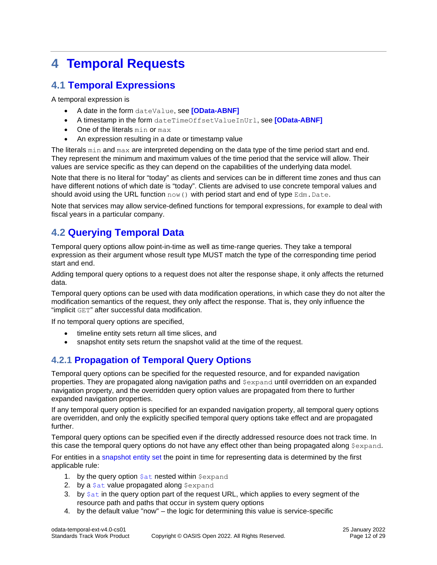# <span id="page-11-5"></span><span id="page-11-0"></span>**4 [Temporal Requests](#page-11-5)**

# <span id="page-11-6"></span><span id="page-11-1"></span>**4.1 [Temporal Expressions](#page-11-6)**

A temporal expression is

- A date in the form dateValue, see **[\[OData-ABNF\]](#page-3-11)**
- A timestamp in the form dateTimeOffsetValueInUrl, see **[\[OData-ABNF\]](#page-3-11)**
- One of the literals min or max
- An expression resulting in a date or timestamp value

The literals min and max are interpreted depending on the data type of the time period start and end. They represent the minimum and maximum values of the time period that the service will allow. Their values are service specific as they can depend on the capabilities of the underlying data model.

Note that there is no literal for "today" as clients and services can be in different time zones and thus can have different notions of which date is "today". Clients are advised to use concrete temporal values and should avoid using the URL function  $now()$  with period start and end of type  $Edm.Date$ .

Note that services may allow service-defined functions for temporal expressions, for example to deal with fiscal years in a particular company.

# <span id="page-11-7"></span><span id="page-11-2"></span>**4.2 [Querying Temporal Data](#page-11-7)**

Temporal query options allow point-in-time as well as time-range queries. They take a temporal expression as their argument whose result type MUST match the type of the corresponding time period start and end.

Adding temporal query options to a request does not alter the response shape, it only affects the returned data.

Temporal query options can be used with data modification operations, in which case they do not alter the modification semantics of the request, they only affect the response. That is, they only influence the "implicit GET" after successful data modification.

If no temporal query options are specified,

- timeline entity sets return all time slices, and
- <span id="page-11-3"></span>• snapshot entity sets return the snapshot valid at the time of the request.

# <span id="page-11-4"></span>**4.2.1 [Propagation of Temporal Query Options](#page-11-4)**

Temporal query options can be specified for the requested resource, and for expanded navigation properties. They are propagated along navigation paths and \$expand until overridden on an expanded navigation property, and the overridden query option values are propagated from there to further expanded navigation properties.

If any temporal query option is specified for an expanded navigation property, all temporal query options are overridden, and only the explicitly specified temporal query options take effect and are propagated further.

Temporal query options can be specified even if the directly addressed resource does not track time. In this case the temporal query options do not have any effect other than being propagated along  $$expand.$ 

For entities in a [snapshot entity set](#page-6-7) the point in time for representing data is determined by the first applicable rule:

- 1. by the query option  $\frac{1}{2}at$  nested within  $\frac{1}{2}exp$  and
- 2. by a  $$at$  value propagated along  $$expand$
- 3. by  $\frac{1}{2}$  by  $\frac{1}{2}$  in the query option part of the request URL, which applies to every segment of the resource path and paths that occur in system query options
- 4. by the default value "now" the logic for determining this value is service-specific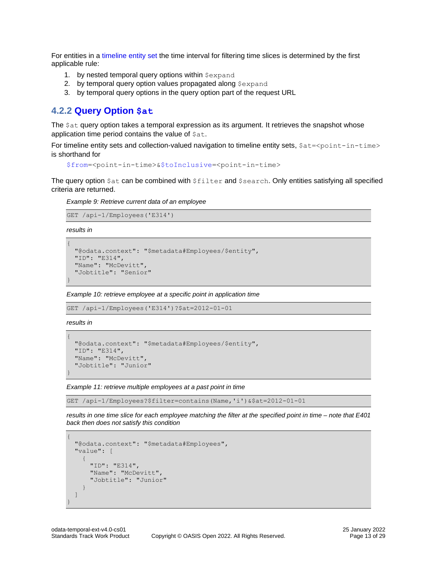For entities in a timeline [entity set](#page-6-8) the time interval for filtering time slices is determined by the first applicable rule:

- 1. by nested temporal query options within  $$expand$
- 2. by temporal query option values propagated along \$expand
- <span id="page-12-0"></span>3. by temporal query options in the query option part of the request URL

### <span id="page-12-1"></span>**4.2.2 [Query Option](#page-12-1) [\\$at](#page-12-1)**

The  $\text{Sat}$  query option takes a temporal expression as its argument. It retrieves the snapshot whose application time period contains the value of  $$at.$ 

For timeline entity sets and collection-valued navigation to timeline entity sets,  $$at$ = $<$ point-in-time> is shorthand for

```
$from=<point-in-time>&$toInclusive=<point-in-time>
```
The query option  $$at$  can be combined with  $$filter$  and  $$search$ . Only entities satisfying all specified criteria are returned.

*Example 9: Retrieve current data of an employee*

```
GET /api-1/Employees('E314')
```
*results in*

```
{
  "@odata.context": "$metadata#Employees/$entity",
   "ID": "E314",
   "Name": "McDevitt",
   "Jobtitle": "Senior"
}
```
*Example 10: retrieve employee at a specific point in application time*

```
GET /api-1/Employees('E314')?$at=2012-01-01
```
*results in*

```
{
   "@odata.context": "$metadata#Employees/$entity",
   "ID": "E314",
   "Name": "McDevitt",
   "Jobtitle": "Junior"
}
```
*Example 11: retrieve multiple employees at a past point in time*

GET /api-1/Employees?\$filter=contains(Name,'i')&\$at=2012-01-01

*results in one time slice for each employee matching the filter at the specified point in time – note that E401 back then does not satisfy this condition*

```
{
   "@odata.context": "$metadata#Employees",
   "value": [
     {
       "ID": "E314",
      "Name": "McDevitt",
       "Jobtitle": "Junior"
     }
   ]
}
```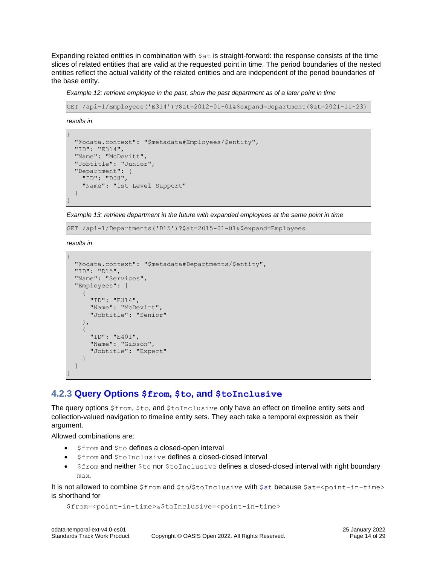Expanding related entities in combination with  $\epsilon$  at is straight-forward: the response consists of the time slices of related entities that are valid at the requested point in time. The period boundaries of the nested entities reflect the actual validity of the related entities and are independent of the period boundaries of the base entity.

*Example 12: retrieve employee in the past, show the past department as of a later point in time*

GET /api-1/Employees('E314')?\$at=2012-01-01&\$expand=Department(\$at=2021-11-23)

*results in*

```
{
  "@odata.context": "$metadata#Employees/$entity",
   "ID": "E314",
   "Name": "McDevitt",
   "Jobtitle": "Junior",
   "Department": {
    "ID": "D08",
     "Name": "1st Level Support"
   }
}
```
*Example 13: retrieve department in the future with expanded employees at the same point in time*

GET /api-1/Departments('D15')?\$at=2015-01-01&\$expand=Employees

*results in*

```
{
   "@odata.context": "$metadata#Departments/$entity",
   "ID": "D15",
   "Name": "Services",
   "Employees": [
     {
       "ID": "E314",
       "Name": "McDevitt",
       "Jobtitle": "Senior"
     },
     {
       "ID": "E401",
       "Name": "Gibson",
       "Jobtitle": "Expert"
     }
   ]
}
```
### <span id="page-13-1"></span><span id="page-13-0"></span>**4.2.3 [Query Options](#page-13-1) \$from, \$to, and [\\$toInclusive](#page-13-1)**

The query options  $\xi$  from,  $\xi$  to, and  $\xi$  to Inclusive only have an effect on timeline entity sets and collection-valued navigation to timeline entity sets. They each take a temporal expression as their argument.

Allowed combinations are:

- \$from and \$to defines a closed-open interval
- Sfrom and StoInclusive defines a closed-closed interval
- \$from and neither \$to nor \$toInclusive defines a closed-closed interval with right boundary max.

It is not allowed to combine  $$from$  and  $$to/$toInclusive$  with  $$at$  because  $$at$ = $<$ point-in-time> is shorthand for

```
$from=<point-in-time>&$toInclusive=<point-in-time>
```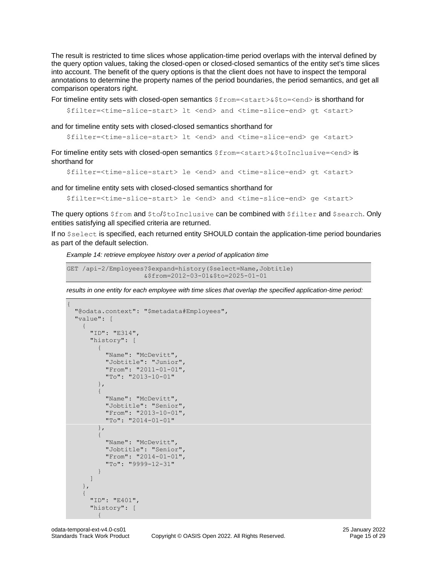The result is restricted to time slices whose application-time period overlaps with the interval defined by the query option values, taking the closed-open or closed-closed semantics of the entity set's time slices into account. The benefit of the query options is that the client does not have to inspect the temporal annotations to determine the property names of the period boundaries, the period semantics, and get all comparison operators right.

For timeline entity sets with closed-open semantics  $$from=\$to>=end>$  is shorthand for

```
$filter=<time-slice-start> lt <end> and <time-slice-end> gt <start>
```
and for timeline entity sets with closed-closed semantics shorthand for

```
$filter=<time-slice-start> lt <end> and <time-slice-end> ge <start>
```
For timeline entity sets with closed-open semantics  $$from=\$  $$for inclusive=}$  is shorthand for

```
$filter=<time-slice-start> le <end> and <time-slice-end> gt <start>
```
and for timeline entity sets with closed-closed semantics shorthand for

```
$filter=<time-slice-start> le <end> and <time-slice-end> ge <start>
```
The query options  $$from and $to/$toInclusive can be combined with $filter and $search. Only$ entities satisfying all specified criteria are returned.

If no \$select is specified, each returned entity SHOULD contain the application-time period boundaries as part of the default selection.

<span id="page-14-0"></span>*Example 14: retrieve employee history over a period of application time*

```
GET /api-2/Employees?$expand=history($select=Name,Jobtitle)
                     &$from=2012-03-01&$to=2025-01-01
```
results in one entity for each employee with time slices that overlap the specified application-time period:

```
{
       "@odata.context": "$metadata#Employees",
       "value": [
\left\{\begin{array}{ccc} & & \\ & & \end{array}\right\} "ID": "E314",
                      "history": [
                             {
                                    "Name": "McDevitt",
                                     "Jobtitle": "Junior",
                                     "From": "2011-01-01",
                                    "To": "2013-10-01"
                             },
\left\{ \begin{array}{cc} 0 & 0 & 0 \\ 0 & 0 & 0 \\ 0 & 0 & 0 \\ 0 & 0 & 0 \\ 0 & 0 & 0 \\ 0 & 0 & 0 \\ 0 & 0 & 0 \\ 0 & 0 & 0 \\ 0 & 0 & 0 \\ 0 & 0 & 0 \\ 0 & 0 & 0 \\ 0 & 0 & 0 & 0 \\ 0 & 0 & 0 & 0 \\ 0 & 0 & 0 & 0 \\ 0 & 0 & 0 & 0 & 0 \\ 0 & 0 & 0 & 0 & 0 \\ 0 & 0 & 0 & 0 & 0 \\ 0 & 0 & 0 & 0 & 0 \\ 0 & 0 & 0 & 0 & 0 "Name": "McDevitt",
                                    "Jobtitle": "Senior",
                                    "From": "2013-10-01",
                                    "To": "2014-01-01"
                             },
\left\{ \begin{array}{cc} 0 & 0 & 0 \\ 0 & 0 & 0 \\ 0 & 0 & 0 \\ 0 & 0 & 0 \\ 0 & 0 & 0 \\ 0 & 0 & 0 \\ 0 & 0 & 0 \\ 0 & 0 & 0 \\ 0 & 0 & 0 \\ 0 & 0 & 0 \\ 0 & 0 & 0 \\ 0 & 0 & 0 & 0 \\ 0 & 0 & 0 & 0 \\ 0 & 0 & 0 & 0 \\ 0 & 0 & 0 & 0 & 0 \\ 0 & 0 & 0 & 0 & 0 \\ 0 & 0 & 0 & 0 & 0 \\ 0 & 0 & 0 & 0 & 0 \\ 0 & 0 & 0 & 0 & 0"Name": "McDevitt",
                                     "Jobtitle": "Senior",
                                     "From": "2014-01-01",
                                     "To": "9999-12-31"
 }
                      ]
               },
\left\{\begin{array}{ccc} & & \\ & & \end{array}\right\} "ID": "E401",
                      "history": [
\left\{ \begin{array}{cc} 0 & 0 & 0 \\ 0 & 0 & 0 \\ 0 & 0 & 0 \\ 0 & 0 & 0 \\ 0 & 0 & 0 \\ 0 & 0 & 0 \\ 0 & 0 & 0 \\ 0 & 0 & 0 \\ 0 & 0 & 0 \\ 0 & 0 & 0 \\ 0 & 0 & 0 \\ 0 & 0 & 0 & 0 \\ 0 & 0 & 0 & 0 \\ 0 & 0 & 0 & 0 \\ 0 & 0 & 0 & 0 & 0 \\ 0 & 0 & 0 & 0 & 0 \\ 0 & 0 & 0 & 0 & 0 \\ 0 & 0 & 0 & 0 & 0 \\ 0 & 0 & 0 & 0 & 0
```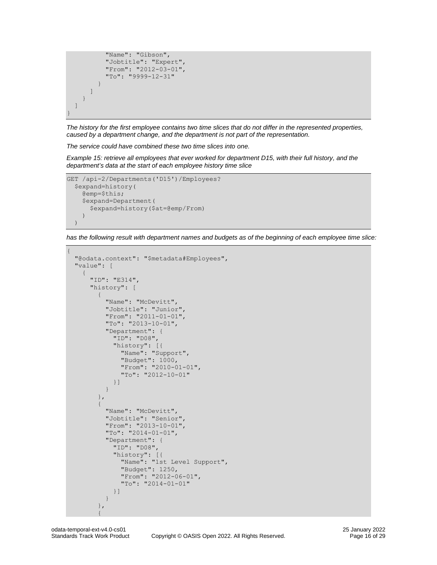

*The history for the first employee contains two time slices that do not differ in the represented properties, caused by a department change, and the department is not part of the representation.*

*The service could have combined these two time slices into one.*

<span id="page-15-0"></span>*Example 15: retrieve all employees that ever worked for department D15, with their full history, and the department's data at the start of each employee history time slice*

```
GET /api-2/Departments('D15')/Employees?
  $expand=history(
     @emp=$this;
     $expand=Department(
       $expand=history($at=@emp/From)
     )
   )
```
*has the following result with department names and budgets as of the beginning of each employee time slice:*

```
{
     "@odata.context": "$metadata#Employees",
    "value": [
          {
              "ID": "E314",
              "history": [
                   {
                       "Name": "McDevitt",
                       "Jobtitle": "Junior",
                       "From": "2011-01-01",
                       "To": "2013-10-01",
                       "Department": {
                            "ID": "D08",
                            "history": [{
                                "Name": "Support",
                                "Budget": 1000,
                                "From": "2010-01-01",
                                 "To": "2012-10-01"
                            }]
                       }
                   },
\left\{ \begin{array}{cc} 0 & 0 & 0 \\ 0 & 0 & 0 \\ 0 & 0 & 0 \\ 0 & 0 & 0 \\ 0 & 0 & 0 \\ 0 & 0 & 0 \\ 0 & 0 & 0 \\ 0 & 0 & 0 \\ 0 & 0 & 0 \\ 0 & 0 & 0 \\ 0 & 0 & 0 \\ 0 & 0 & 0 & 0 \\ 0 & 0 & 0 & 0 \\ 0 & 0 & 0 & 0 \\ 0 & 0 & 0 & 0 & 0 \\ 0 & 0 & 0 & 0 & 0 \\ 0 & 0 & 0 & 0 & 0 \\ 0 & 0 & 0 & 0 & 0 \\ 0 & 0 & 0 & 0 & 0 "Name": "McDevitt",
                       "Jobtitle": "Senior",
                       "From": "2013-10-01",
                       "To": "2014-01-01",
                       "Department": {
                            "ID": "D08",
                            "history": [{
                                "Name": "1st Level Support",
                                "Budget": 1250,
                                "From": "2012-06-01",
                                 "To": "2014-01-01"
                           }]
                       }
                   },
\left\{ \begin{array}{cc} 0 & 0 & 0 \\ 0 & 0 & 0 \\ 0 & 0 & 0 \\ 0 & 0 & 0 \\ 0 & 0 & 0 \\ 0 & 0 & 0 \\ 0 & 0 & 0 \\ 0 & 0 & 0 \\ 0 & 0 & 0 \\ 0 & 0 & 0 \\ 0 & 0 & 0 \\ 0 & 0 & 0 & 0 \\ 0 & 0 & 0 & 0 \\ 0 & 0 & 0 & 0 \\ 0 & 0 & 0 & 0 & 0 \\ 0 & 0 & 0 & 0 & 0 \\ 0 & 0 & 0 & 0 & 0 \\ 0 & 0 & 0 & 0 & 0 \\ 0 & 0 & 0 & 0 & 0
```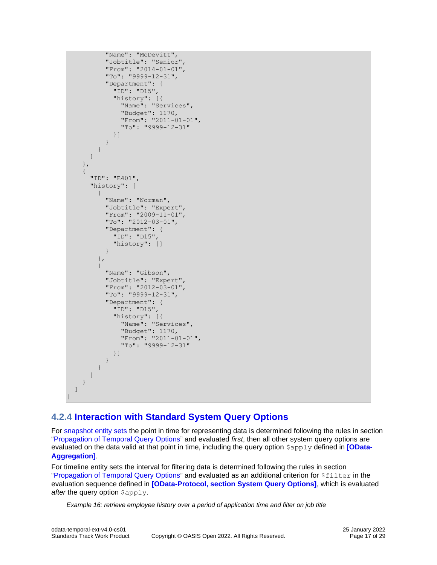```
 "Name": "McDevitt",
                 "Jobtitle": "Senior",
                 "From": "2014-01-01",
                 "To": "9999-12-31",
                 "Department": {
                    "ID": "D15",
                    "history": [{
                       "Name": "Services",
                        "Budget": 1170,
                       "From": "2011-01-01",
                       "To": "9999-12-31"
                    }]
                 }
              }
          ]
       },
       {
          "ID": "E401",
          "history": [
             {
                 "Name": "Norman",
                 "Jobtitle": "Expert",
                 "From": "2009-11-01",
                 "To": "2012-03-01",
                 "Department": {
                   "ID": "D15",
                    "history": []
                 }
              },
\left\{ \begin{array}{cc} 0 & 0 & 0 \\ 0 & 0 & 0 \\ 0 & 0 & 0 \\ 0 & 0 & 0 \\ 0 & 0 & 0 \\ 0 & 0 & 0 \\ 0 & 0 & 0 \\ 0 & 0 & 0 \\ 0 & 0 & 0 \\ 0 & 0 & 0 \\ 0 & 0 & 0 \\ 0 & 0 & 0 & 0 \\ 0 & 0 & 0 & 0 \\ 0 & 0 & 0 & 0 \\ 0 & 0 & 0 & 0 & 0 \\ 0 & 0 & 0 & 0 & 0 \\ 0 & 0 & 0 & 0 & 0 \\ 0 & 0 & 0 & 0 & 0 \\ 0 & 0 & 0 & 0 & 0 "Name": "Gibson",
                 "Jobtitle": "Expert",
                 "From": "2012-03-01",
                 "To": "9999-12-31",
                 "Department": {
                    "ID": "D15",
                    "history": [{
                       "Name": "Services",
                       "Budget": 1170,
                       "From": "2011-01-01",
                        "To": "9999-12-31"
                    }]
                 }
 }
          ]
       }
    ]
```
# **4.2.4 [Interaction with Standard System Query Options](#page-15-0)**

For [snapshot entity sets](#page-6-7) the point in time for representing data is determined following the rules in section "Propagation of Temporal [Query Options](#page-11-4)" and evaluated *first*, then all other system query options are evaluated on the data valid at that point in time, including the query option  $\epsilon_{\text{apply}}$  defined in **[\[OData-](http://docs.oasis-open.org/odata/odata-data-aggregation-ext/v4.0/odata-data-aggregation-ext-v4.0.html)[Aggregation\]](http://docs.oasis-open.org/odata/odata-data-aggregation-ext/v4.0/odata-data-aggregation-ext-v4.0.html)**.

For timeline entity sets the interval for filtering data is determined following the rules in section "Propagation of Temporal [Query Options](#page-11-4)" and evaluated as an additional criterion for  $f$ filter in the evaluation sequence defined in **[\[OData-Protocol, section System Query Options\]](https://docs.oasis-open.org/odata/odata/v4.01/odata-v4.01-part1-protocol.html#sec_SystemQueryOptions)**, which is evaluated *after* the query option  $\frac{2}{3}$ apply.

*Example 16: retrieve employee history over a period of application time and filter on job title*

<span id="page-16-0"></span>}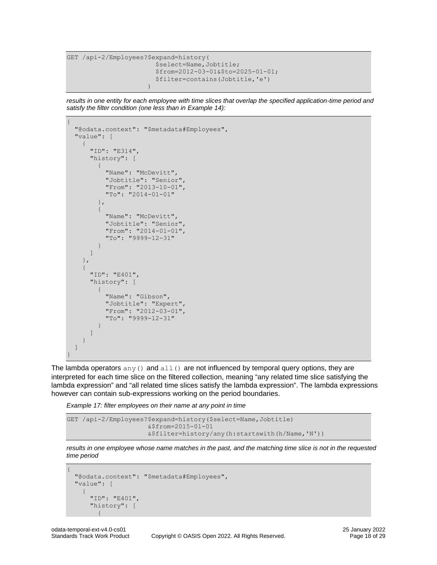```
GET /api-2/Employees?$expand=history(
                                                         $select=Name,Jobtitle;
                                                        $from=2012-03-01&$to=2025-01-01;
                                                         $filter=contains(Jobtitle,'e')
experience of the contract of the contract of the contract of the contract of the contract of the contract of the contract of the contract of the contract of the contract of the contract of the contract of the contract of
```
results in one entity for each employee with time slices that overlap the specified application-time period and *satisfy the filter condition (one less than in [Example 14\)](#page-14-0):*

```
{
    "@odata.context": "$metadata#Employees",
    "value": [
        {
            "ID": "E314",
            "history": [
                {
                    "Name": "McDevitt",
                   "Jobtitle": "Senior",
                   "From": "2013-10-01",
                   "To": "2014-01-01"
                },
\left\{ \begin{array}{cc} 0 & 0 & 0 \\ 0 & 0 & 0 \\ 0 & 0 & 0 \\ 0 & 0 & 0 \\ 0 & 0 & 0 \\ 0 & 0 & 0 \\ 0 & 0 & 0 \\ 0 & 0 & 0 \\ 0 & 0 & 0 \\ 0 & 0 & 0 \\ 0 & 0 & 0 \\ 0 & 0 & 0 & 0 \\ 0 & 0 & 0 & 0 \\ 0 & 0 & 0 & 0 \\ 0 & 0 & 0 & 0 & 0 \\ 0 & 0 & 0 & 0 & 0 \\ 0 & 0 & 0 & 0 & 0 \\ 0 & 0 & 0 & 0 & 0 \\ 0 & 0 & 0 & 0 & 0 "Name": "McDevitt",
                   "Jobtitle": "Senior",
                    "From": "2014-01-01",
                    "To": "9999-12-31"
 }
            ]
        },
        {
            "ID": "E401",
            "history": [
                {
                   "Name": "Gibson",
                   "Jobtitle": "Expert",
                   "From": "2012-03-01",
                   "To": "9999-12-31"
               }
           ]
       }
    ]
}
```
The lambda operators any () and all() are not influenced by temporal query options, they are interpreted for each time slice on the filtered collection, meaning "any related time slice satisfying the lambda expression" and "all related time slices satisfy the lambda expression". The lambda expressions however can contain sub-expressions working on the period boundaries.

*Example 17: filter employees on their name at any point in time*

```
GET /api-2/Employees?$expand=history($select=Name,Jobtitle)
                      &$from=2015-01-01
                      &$filter=history/any(h:startswith(h/Name,'N'))
```
*results in one employee whose name matches in the past, and the matching time slice is not in the requested time period*

```
{
          "@odata.context": "$metadata#Employees",
         "value": [
\left\{\begin{array}{ccc} & & \\ & & \end{array}\right\} "ID": "E401",
                              "history": [
\left\{ \begin{array}{cc} 0 & 0 & 0 \\ 0 & 0 & 0 \\ 0 & 0 & 0 \\ 0 & 0 & 0 \\ 0 & 0 & 0 \\ 0 & 0 & 0 \\ 0 & 0 & 0 \\ 0 & 0 & 0 \\ 0 & 0 & 0 \\ 0 & 0 & 0 \\ 0 & 0 & 0 \\ 0 & 0 & 0 & 0 \\ 0 & 0 & 0 & 0 \\ 0 & 0 & 0 & 0 \\ 0 & 0 & 0 & 0 & 0 \\ 0 & 0 & 0 & 0 & 0 \\ 0 & 0 & 0 & 0 & 0 \\ 0 & 0 & 0 & 0 & 0 \\ 0 & 0 & 0 & 0 & 0
```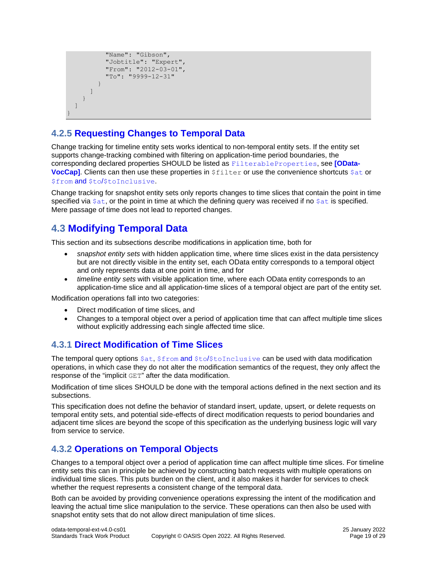```
 "Name": "Gibson",
              "Jobtitle": "Expert",
              "From": "2012-03-01",
              "To": "9999-12-31"
 }
       \begin{array}{c} \end{array} }
   ]
```
<span id="page-18-0"></span>}

# <span id="page-18-4"></span>**4.2.5 [Requesting Changes to Temporal Data](#page-18-4)**

Change tracking for timeline entity sets works identical to non-temporal entity sets. If the entity set supports change-tracking combined with filtering on application-time period boundaries, the corresponding declared properties SHOULD be listed as [FilterableProperties](https://github.com/oasis-tcs/odata-vocabularies/blob/master/vocabularies/Org.OData.Capabilities.V1.md#ChangeTrackingType), see **[\[OData-](#page-3-12)[VocCap\]](#page-3-12)**. Clients can then use these properties in  $$filter$  or use the convenience shortcuts  $$at$  or \$from and \$to/[\\$toInclusive](#page-13-1).

Change tracking for snapshot entity sets only reports changes to time slices that contain the point in time specified via  $\frac{1}{2}$  or the point in time at which the defining query was received if no  $\frac{1}{2}$  is specified. Mere passage of time does not lead to reported changes.

# <span id="page-18-5"></span><span id="page-18-1"></span>**4.3 [Modifying Temporal Data](#page-18-5)**

This section and its subsections describe modifications in application time, both for

- *snapshot entity sets* with hidden application time, where time slices exist in the data persistency but are not directly visible in the entity set, each OData entity corresponds to a temporal object and only represents data at one point in time, and for
- *timeline entity sets* with visible application time, where each OData entity corresponds to an application-time slice and all application-time slices of a temporal object are part of the entity set.

Modification operations fall into two categories:

- Direct modification of time slices, and
- <span id="page-18-2"></span>• Changes to a temporal object over a period of application time that can affect multiple time slices without explicitly addressing each single affected time slice.

# <span id="page-18-6"></span>**4.3.1 [Direct Modification of Time Slices](#page-18-6)**

The temporal query options  $\dots$ ,  $f_{\text{from}}$  and  $\frac{f_{\text{to}}}{f_{\text{to}}$  inclusive can be used with data modification operations, in which case they do not alter the modification semantics of the request, they only affect the response of the "implicit GET" after the data modification.

Modification of time slices SHOULD be done with the temporal actions defined in the next section and its subsections.

This specification does not define the behavior of standard insert, update, upsert, or delete requests on temporal entity sets, and potential side-effects of direct modification requests to period boundaries and adjacent time slices are beyond the scope of this specification as the underlying business logic will vary from service to service.

# <span id="page-18-7"></span><span id="page-18-3"></span>**4.3.2 [Operations on Temporal Objects](#page-18-7)**

Changes to a temporal object over a period of application time can affect multiple time slices. For timeline entity sets this can in principle be achieved by constructing batch requests with multiple operations on individual time slices. This puts burden on the client, and it also makes it harder for services to check whether the request represents a consistent change of the temporal data.

Both can be avoided by providing convenience operations expressing the intent of the modification and leaving the actual time slice manipulation to the service. These operations can then also be used with snapshot entity sets that do not allow direct manipulation of time slices.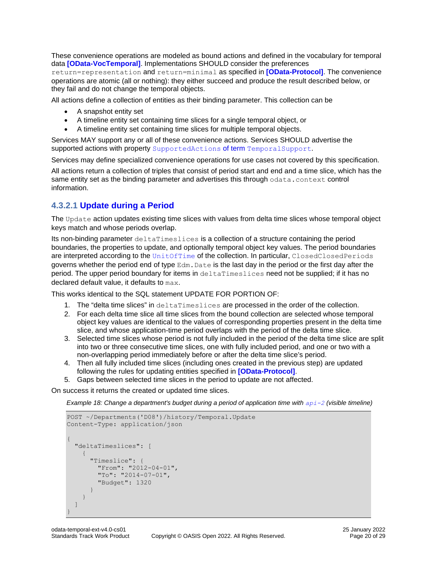These convenience operations are modeled as bound actions and defined in the vocabulary for temporal data **[\[OData-VocTemporal\]](#page-3-10)**. Implementations SHOULD consider the preferences return=representation and return=minimal as specified in **[\[OData-Protocol\]](#page-3-13)**. The convenience operations are atomic (all or nothing): they either succeed and produce the result described below, or they fail and do not change the temporal objects.

All actions define a collection of entities as their binding parameter. This collection can be

- A snapshot entity set
- A timeline entity set containing time slices for a single temporal object, or
- A timeline entity set containing time slices for multiple temporal objects.

Services MAY support any or all of these convenience actions. Services SHOULD advertise the supported actions with property [SupportedActions](#page-9-1) of term TemporalSupport.

Services may define specialized convenience operations for use cases not covered by this specification.

All actions return a collection of triples that consist of period start and end and a time slice, which has the same entity set as the binding parameter and advertises this through odata.context control information.

### <span id="page-19-1"></span><span id="page-19-0"></span>**4.3.2.1 [Update during a Period](#page-19-1)**

The Update action updates existing time slices with values from delta time slices whose temporal object keys match and whose periods overlap.

Its non-binding parameter deltaTimeslices is a collection of a structure containing the period boundaries, the properties to update, and optionally temporal object key values. The period boundaries are interpreted according to the [UnitOfTime](#page-9-1) of the collection. In particular, ClosedClosedPeriods governs whether the period end of type  $Edm$ . Date is the last day in the period or the first day after the period. The upper period boundary for items in deltaTimeslices need not be supplied; if it has no declared default value, it defaults to max.

This works identical to the SQL statement UPDATE FOR PORTION OF:

- 1. The "delta time slices" in deltaTimeslices are processed in the order of the collection.
- 2. For each delta time slice all time slices from the bound collection are selected whose temporal object key values are identical to the values of corresponding properties present in the delta time slice, and whose application-time period overlaps with the period of the delta time slice.
- 3. Selected time slices whose period is not fully included in the period of the delta time slice are split into two or three consecutive time slices, one with fully included period, and one or two with a non-overlapping period immediately before or after the delta time slice's period.
- 4. Then all fully included time slices (including ones created in the previous step) are updated following the rules for updating entities specified in **[\[OData-Protocol\]](#page-3-13)**.
- 5. Gaps between selected time slices in the period to update are not affected.

On success it returns the created or updated time slices.

*Example 18: Change a department's budget during a period of application time with [api-2](#page-7-3) (visible timeline)*

```
POST ~/Departments('D08')/history/Temporal.Update
Content-Type: application/json
{
   "deltaTimeslices": [
     {
       "Timeslice": {
         "From": "2012-04-01",
         "To": "2014-07-01",
         "Budget": 1320
       }
     }
   ]
}
```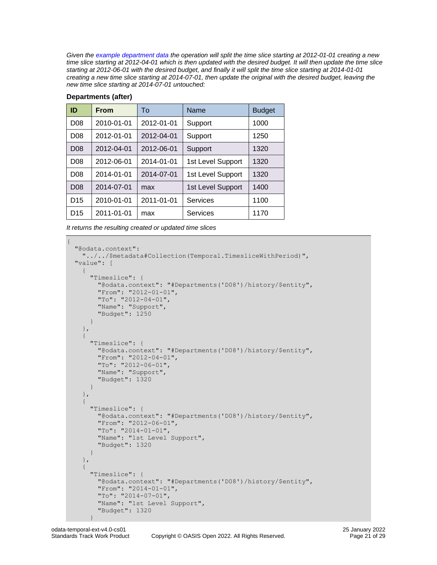*Given the [example department data](#page-7-1) the operation will split the time slice starting at 2012-01-01 creating a new time slice starting at 2012-04-01 which is then updated with the desired budget. It will then update the time slice starting at 2012-06-01 with the desired budget, and finally it will split the time slice starting at 2014-01-01 creating a new time slice starting at 2014-07-01, then update the original with the desired budget, leaving the new time slice starting at 2014-07-01 untouched:*

| ID              | <b>From</b> | To         | Name              | <b>Budget</b> |
|-----------------|-------------|------------|-------------------|---------------|
| D <sub>08</sub> | 2010-01-01  | 2012-01-01 | Support           | 1000          |
| D <sub>08</sub> | 2012-01-01  | 2012-04-01 | Support           | 1250          |
| D <sub>08</sub> | 2012-04-01  | 2012-06-01 | Support           | 1320          |
| D <sub>08</sub> | 2012-06-01  | 2014-01-01 | 1st Level Support | 1320          |
| D <sub>08</sub> | 2014-01-01  | 2014-07-01 | 1st Level Support | 1320          |
| D <sub>08</sub> | 2014-07-01  | max        | 1st Level Support | 1400          |
| D <sub>15</sub> | 2010-01-01  | 2011-01-01 | Services          | 1100          |
| D <sub>15</sub> | 2011-01-01  | max        | Services          | 1170          |

#### **Departments (after)**

*It returns the resulting created or updated time slices*

```
{
   "@odata.context":
     "../../$metadata#Collection(Temporal.TimesliceWithPeriod)",
   "value": [
     {
       "Timeslice": {
         "@odata.context": "#Departments('D08')/history/$entity",
         "From": "2012-01-01",
         "To": "2012-04-01",
         "Name": "Support",
         "Budget": 1250
       }
     },
\left\{\begin{array}{ccc} & & \\ & & \end{array}\right\} "Timeslice": {
          "@odata.context": "#Departments('D08')/history/$entity",
          "From": "2012-04-01",
         "To": "2012-06-01",
         "Name": "Support",
         "Budget": 1320
       }
     },
     {
       "Timeslice": {
         "@odata.context": "#Departments('D08')/history/$entity",
         "From": "2012-06-01",
         "To": "2014-01-01",
         "Name": "1st Level Support",
          "Budget": 1320
       }
     },
     {
       "Timeslice": {
         "@odata.context": "#Departments('D08')/history/$entity",
         "From": "2014-01-01",
         "To": "2014-07-01",
         "Name": "1st Level Support",
          "Budget": 1320
```
 $\qquad \qquad \}$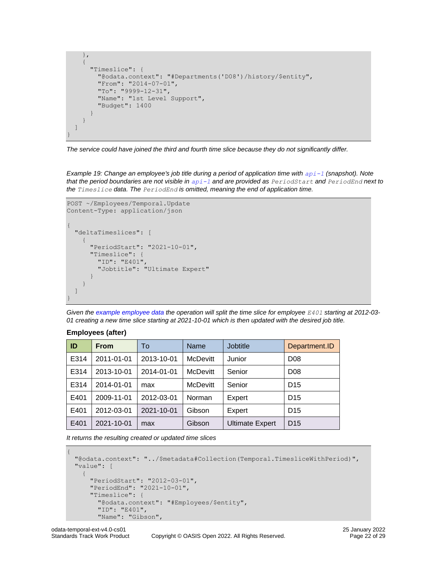```
 },
     {
       "Timeslice": {
         "@odata.context": "#Departments('D08')/history/$entity",
         "From": "2014-07-01",
         "To": "9999-12-31",
         "Name": "1st Level Support",
         "Budget": 1400
       }
     }
   ]
}
```
*The service could have joined the third and fourth time slice because they do not significantly differ.*

*Example 19: Change an employee's job title during a period of application time with [api-1](#page-7-2) (snapshot). Note that the period boundaries are not visible in [api-1](#page-7-2) and are provided as PeriodStart and PeriodEnd next to the Timeslice data. The PeriodEnd is omitted, meaning the end of application time.*

```
POST ~/Employees/Temporal.Update
Content-Type: application/json
```

```
{
   "deltaTimeslices": [
      {
         "PeriodStart": "2021-10-01",
         "Timeslice": {
           "ID": "E401",
           "Jobtitle": "Ultimate Expert"
\qquad \qquad \} }
  \begin{array}{c} \end{array}}
```
*Given the [example employee](#page-7-1) data the operation will split the time slice for employee E401 starting at 2012-03- 01 creating a new time slice starting at 2021-10-01 which is then updated with the desired job title.*

#### **Employees (after)**

| ID   | <b>From</b> | To         | <b>Name</b>     | Jobtitle               | Department.ID   |
|------|-------------|------------|-----------------|------------------------|-----------------|
| E314 | 2011-01-01  | 2013-10-01 | <b>McDevitt</b> | Junior                 | D <sub>08</sub> |
| E314 | 2013-10-01  | 2014-01-01 | <b>McDevitt</b> | Senior                 | D <sub>08</sub> |
| E314 | 2014-01-01  | max        | <b>McDevitt</b> | Senior                 | D <sub>15</sub> |
| E401 | 2009-11-01  | 2012-03-01 | Norman          | Expert                 | D <sub>15</sub> |
| E401 | 2012-03-01  | 2021-10-01 | Gibson          | Expert                 | D <sub>15</sub> |
| E401 | 2021-10-01  | max        | Gibson          | <b>Ultimate Expert</b> | D <sub>15</sub> |

*It returns the resulting created or updated time slices*

```
{
  "@odata.context": "../$metadata#Collection(Temporal.TimesliceWithPeriod)",
  "value": [
     {
       "PeriodStart": "2012-03-01",
       "PeriodEnd": "2021-10-01",
       "Timeslice": {
         "@odata.context": "#Employees/$entity",
         "ID": "E401",
         "Name": "Gibson",
```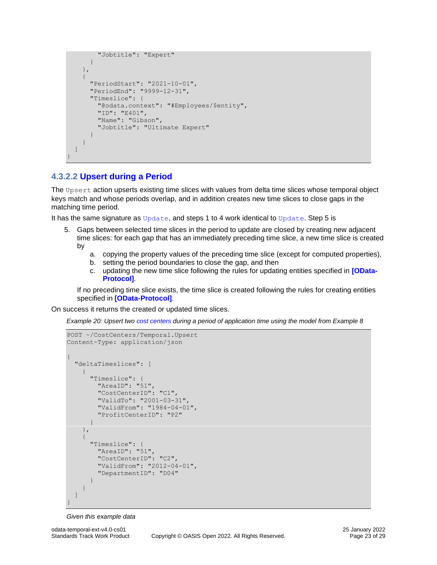```
 "Jobtitle": "Expert"
       }
     },
     {
       "PeriodStart": "2021-10-01",
       "PeriodEnd": "9999-12-31",
       "Timeslice": {
         "@odata.context": "#Employees/$entity",
          "ID": "E401",
         "Name": "Gibson",
          "Jobtitle": "Ultimate Expert"
\qquad \qquad \} }
   ]
}
```
### <span id="page-22-1"></span><span id="page-22-0"></span>**4.3.2.2 [Upsert during a Period](#page-22-1)**

The Upsert action upserts existing time slices with values from delta time slices whose temporal object keys match and whose periods overlap, and in addition creates new time slices to close gaps in the matching time period.

It has the same signature as [Update](#page-19-1), and steps 1 to 4 work identical to Update. Step 5 is

- 5. Gaps between selected time slices in the period to update are closed by creating new adjacent time slices: for each gap that has an immediately preceding time slice, a new time slice is created by
	- a. copying the property values of the preceding time slice (except for computed properties),
	- b. setting the period boundaries to close the gap, and then
	- c. updating the new time slice following the rules for updating entities specified in **[\[OData-](#page-3-13)[Protocol\]](#page-3-13)**.

If no preceding time slice exists, the time slice is created following the rules for creating entities specified in **[\[OData-Protocol\]](#page-3-13)**.

On success it returns the created or updated time slices.

*Example 20: Upsert two [cost centers](#page-10-0) during a period of application time using the model from [Example 8](#page-10-0)*

```
POST ~/CostCenters/Temporal.Upsert
Content-Type: application/json
{
   "deltaTimeslices": [
     {
       "Timeslice": {
         "AreaID": "51",
         "CostCenterID": "C1",
         "ValidTo": "2001-03-31",
         "ValidFrom": "1984-04-01",
         "ProfitCenterID": "P2"
       }
     },
     {
       "Timeslice": {
         "AreaID": "51",
          "CostCenterID": "C2",
         "ValidFrom": "2012-04-01",
         "DepartmentID": "D04"
       }
     }
   ]
}
```
*Given this example data*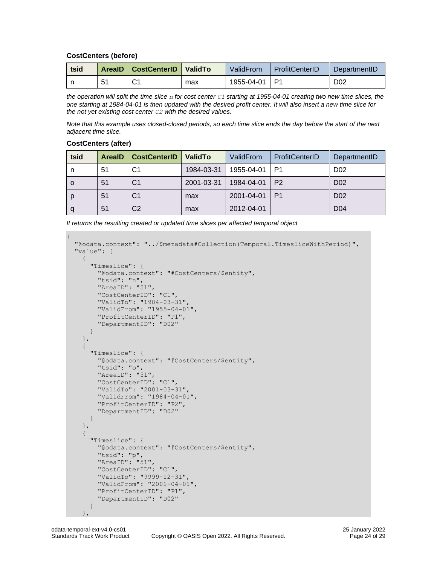#### **CostCenters (before)**

| tsid |     | ArealD   CostCenterID   ValidTo |     | ValidFrom     | ProfitCenterID | DepartmentID     |
|------|-----|---------------------------------|-----|---------------|----------------|------------------|
|      | -51 | C1                              | max | 1955-04-01 P1 |                | D <sub>0</sub> 2 |

*the operation will split the time slice n for cost center C1 starting at 1955-04-01 creating two new time slices, the one starting at 1984-04-01 is then updated with the desired profit center. It will also insert a new time slice for the not yet existing cost center C2 with the desired values.*

*Note that this example uses closed-closed periods, so each time slice ends the day before the start of the next adjacent time slice.*

#### **CostCenters (after)**

| tsid | <b>ArealD</b> | <b>CostCenterID</b> | <b>ValidTo</b> | ValidFrom  | ProfitCenterID | DepartmentID     |
|------|---------------|---------------------|----------------|------------|----------------|------------------|
| n    | 51            | C1                  | 1984-03-31     | 1955-04-01 | P1             | D <sub>0</sub> 2 |
| 0    | 51            | C1                  | 2001-03-31     | 1984-04-01 | P <sub>2</sub> | D <sub>02</sub>  |
| p    | 51            | C1                  | max            | 2001-04-01 | P <sub>1</sub> | D <sub>0</sub> 2 |
| q    | 51            | C <sub>2</sub>      | max            | 2012-04-01 |                | D <sub>04</sub>  |

| It returns the resulting created or updated time slices per affected temporal object |  |  |
|--------------------------------------------------------------------------------------|--|--|

```
{
   "@odata.context": "../$metadata#Collection(Temporal.TimesliceWithPeriod)",
  "value": [
     {
       "Timeslice": {
         "@odata.context": "#CostCenters/$entity",
         "tsid": "n",
         "AreaID": "51",
         "CostCenterID": "C1",
         "ValidTo": "1984-03-31",
         "ValidFrom": "1955-04-01",
         "ProfitCenterID": "P1",
         "DepartmentID": "D02"
       }
     },
     {
       "Timeslice": {
         "@odata.context": "#CostCenters/$entity",
         "tsid": "o",
         "AreaID": "51",
         "CostCenterID": "C1",
         "ValidTo": "2001-03-31",
         "ValidFrom": "1984-04-01",
         "ProfitCenterID": "P2",
         "DepartmentID": "D02"
       }
     },
     {
       "Timeslice": {
         "@odata.context": "#CostCenters/$entity",
         "tsid": "p",
         "AreaID": "51",
         "CostCenterID": "C1",
         "ValidTo": "9999-12-31",
         "ValidFrom": "2001-04-01",
         "ProfitCenterID": "P1",
         "DepartmentID": "D02"
       }
     },
```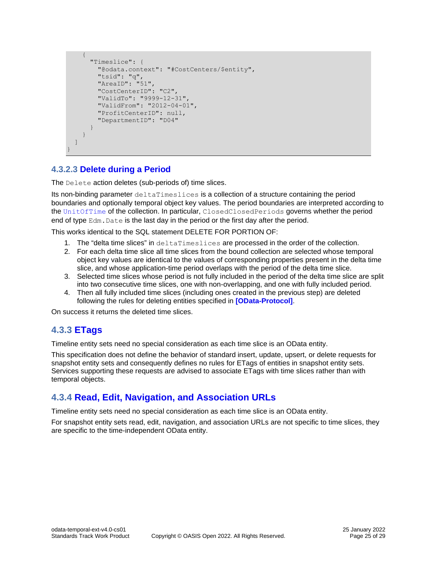```
 {
       "Timeslice": {
         "@odata.context": "#CostCenters/$entity",
         "tsid": "q",
          "AreaID": "51",
          "CostCenterID": "C2",
          "ValidTo": "9999-12-31",
          "ValidFrom": "2012-04-01",
          "ProfitCenterID": null,
         "DepartmentID": "D04"
       }
     }
   ]
}
```
### <span id="page-24-3"></span><span id="page-24-0"></span>**4.3.2.3 [Delete during a Period](#page-24-3)**

The Delete action deletes (sub-periods of) time slices.

Its non-binding parameter deltaTimeslices is a collection of a structure containing the period boundaries and optionally temporal object key values. The period boundaries are interpreted according to the [UnitOfTime](#page-9-1) of the collection. In particular, ClosedClosedPeriods governs whether the period end of type  $Edm$ . Date is the last day in the period or the first day after the period.

This works identical to the SQL statement DELETE FOR PORTION OF:

- 1. The "delta time slices" in deltaTimeslices are processed in the order of the collection.
- 2. For each delta time slice all time slices from the bound collection are selected whose temporal object key values are identical to the values of corresponding properties present in the delta time slice, and whose application-time period overlaps with the period of the delta time slice.
- 3. Selected time slices whose period is not fully included in the period of the delta time slice are split into two consecutive time slices, one with non-overlapping, and one with fully included period.
- 4. Then all fully included time slices (including ones created in the previous step) are deleted following the rules for deleting entities specified in **[\[OData-Protocol\]](#page-3-13)**.

On success it returns the deleted time slices.

# <span id="page-24-4"></span><span id="page-24-1"></span>**4.3.3 [ETags](#page-24-4)**

Timeline entity sets need no special consideration as each time slice is an OData entity.

This specification does not define the behavior of standard insert, update, upsert, or delete requests for snapshot entity sets and consequently defines no rules for ETags of entities in snapshot entity sets. Services supporting these requests are advised to associate ETags with time slices rather than with temporal objects.

### <span id="page-24-5"></span><span id="page-24-2"></span>**4.3.4 [Read, Edit, Navigation, and Association URLs](#page-24-5)**

Timeline entity sets need no special consideration as each time slice is an OData entity.

For snapshot entity sets read, edit, navigation, and association URLs are not specific to time slices, they are specific to the time-independent OData entity.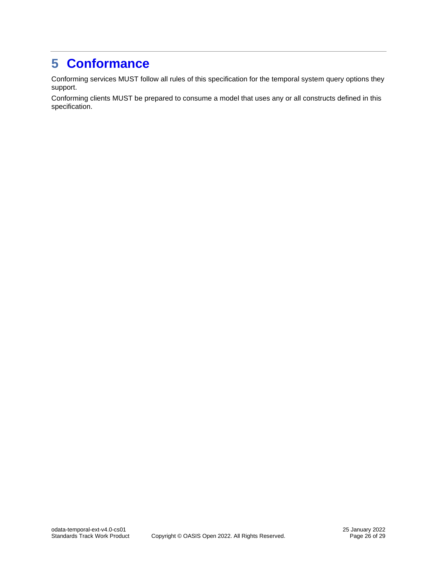# <span id="page-25-1"></span><span id="page-25-0"></span>**5 [Conformance](#page-25-1)**

Conforming services MUST follow all rules of this specification for the temporal system query options they support.

Conforming clients MUST be prepared to consume a model that uses any or all constructs defined in this specification.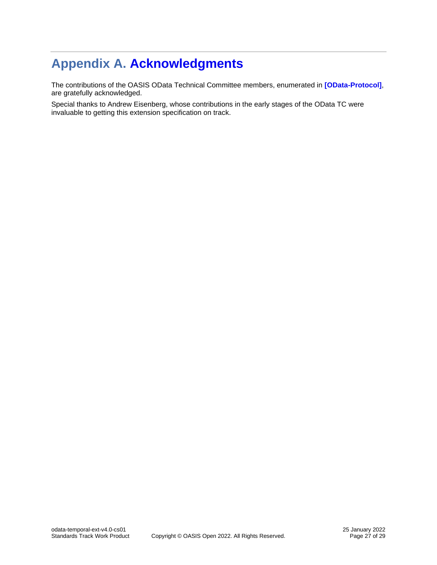# <span id="page-26-1"></span><span id="page-26-0"></span>**Appendix A. [Acknowledgments](#page-26-1)**

The contributions of the OASIS OData Technical Committee members, enumerated in **[\[OData-Protocol\]](#page-3-13)**, are gratefully acknowledged.

Special thanks to Andrew Eisenberg, whose contributions in the early stages of the OData TC were invaluable to getting this extension specification on track.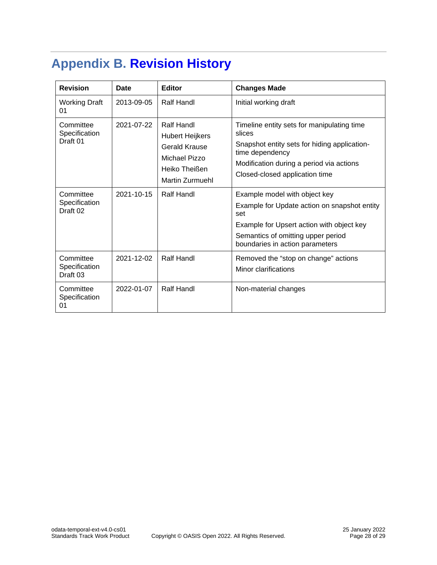# <span id="page-27-1"></span><span id="page-27-0"></span>**Appendix B. [Revision History](#page-27-1)**

| <b>Revision</b>                                   | Date       | <b>Editor</b>                                                                                                     | <b>Changes Made</b>                                                                                                                                                                                        |
|---------------------------------------------------|------------|-------------------------------------------------------------------------------------------------------------------|------------------------------------------------------------------------------------------------------------------------------------------------------------------------------------------------------------|
| <b>Working Draft</b><br>01                        | 2013-09-05 | Ralf Handl                                                                                                        | Initial working draft                                                                                                                                                                                      |
| Committee<br>Specification<br>Draft 01            | 2021-07-22 | Ralf Handl<br><b>Hubert Heijkers</b><br><b>Gerald Krause</b><br>Michael Pizzo<br>Heiko Theißen<br>Martin Zurmuehl | Timeline entity sets for manipulating time<br>slices<br>Snapshot entity sets for hiding application-<br>time dependency<br>Modification during a period via actions<br>Closed-closed application time      |
| Committee<br>Specification<br>Draft 02            | 2021-10-15 | Ralf Handl                                                                                                        | Example model with object key<br>Example for Update action on snapshot entity<br>set<br>Example for Upsert action with object key<br>Semantics of omitting upper period<br>boundaries in action parameters |
| Committee<br>Specification<br>Draft <sub>03</sub> | 2021-12-02 | Ralf Handl                                                                                                        | Removed the "stop on change" actions<br>Minor clarifications                                                                                                                                               |
| Committee<br>Specification<br>01                  | 2022-01-07 | Ralf Handl                                                                                                        | Non-material changes                                                                                                                                                                                       |